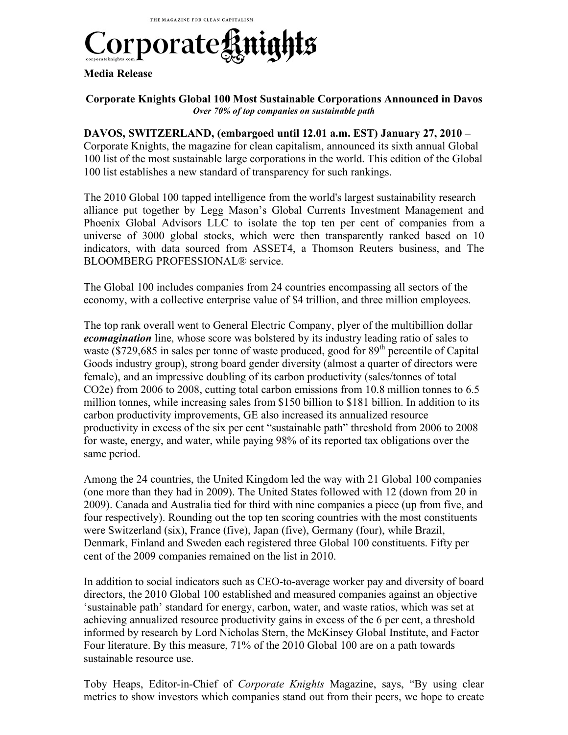

#### **Media Release**

#### **Corporate Knights Global 100 Most Sustainable Corporations Announced in Davos** *Over 70% of top companies on sustainable path*

### **DAVOS, SWITZERLAND, (embargoed until 12.01 a.m. EST) January 27, 2010 –**

Corporate Knights, the magazine for clean capitalism, announced its sixth annual Global 100 list of the most sustainable large corporations in the world. This edition of the Global 100 list establishes a new standard of transparency for such rankings.

The 2010 Global 100 tapped intelligence from the world's largest sustainability research alliance put together by Legg Mason's Global Currents Investment Management and Phoenix Global Advisors LLC to isolate the top ten per cent of companies from a universe of 3000 global stocks, which were then transparently ranked based on 10 indicators, with data sourced from ASSET4, a Thomson Reuters business, and The BLOOMBERG PROFESSIONAL® service.

The Global 100 includes companies from 24 countries encompassing all sectors of the economy, with a collective enterprise value of \$4 trillion, and three million employees.

The top rank overall went to General Electric Company, plyer of the multibillion dollar *ecomagination* line, whose score was bolstered by its industry leading ratio of sales to waste  $(8729,685)$  in sales per tonne of waste produced, good for  $89<sup>th</sup>$  percentile of Capital Goods industry group), strong board gender diversity (almost a quarter of directors were female), and an impressive doubling of its carbon productivity (sales/tonnes of total CO2e) from 2006 to 2008, cutting total carbon emissions from 10.8 million tonnes to 6.5 million tonnes, while increasing sales from \$150 billion to \$181 billion. In addition to its carbon productivity improvements, GE also increased its annualized resource productivity in excess of the six per cent "sustainable path" threshold from 2006 to 2008 for waste, energy, and water, while paying 98% of its reported tax obligations over the same period.

Among the 24 countries, the United Kingdom led the way with 21 Global 100 companies (one more than they had in 2009). The United States followed with 12 (down from 20 in 2009). Canada and Australia tied for third with nine companies a piece (up from five, and four respectively). Rounding out the top ten scoring countries with the most constituents were Switzerland (six), France (five), Japan (five), Germany (four), while Brazil, Denmark, Finland and Sweden each registered three Global 100 constituents. Fifty per cent of the 2009 companies remained on the list in 2010.

In addition to social indicators such as CEO-to-average worker pay and diversity of board directors, the 2010 Global 100 established and measured companies against an objective 'sustainable path' standard for energy, carbon, water, and waste ratios, which was set at achieving annualized resource productivity gains in excess of the 6 per cent, a threshold informed by research by Lord Nicholas Stern, the McKinsey Global Institute, and Factor Four literature. By this measure, 71% of the 2010 Global 100 are on a path towards sustainable resource use.

Toby Heaps, Editor-in-Chief of *Corporate Knights* Magazine, says, "By using clear metrics to show investors which companies stand out from their peers, we hope to create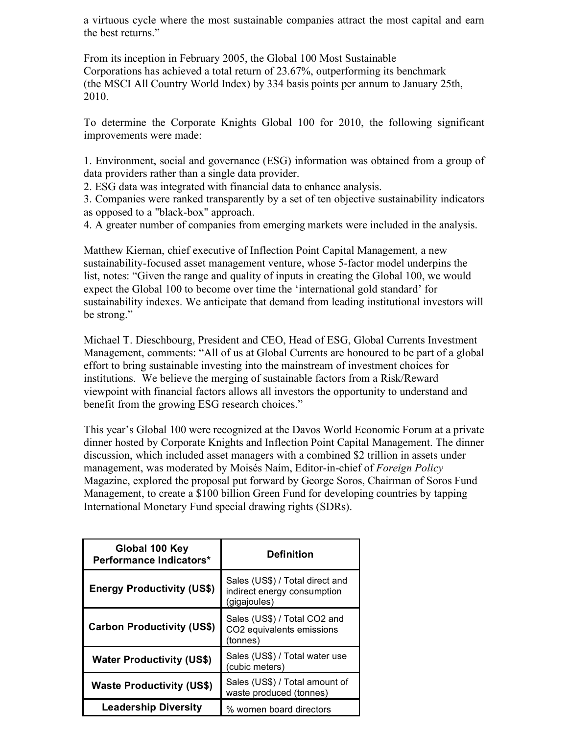a virtuous cycle where the most sustainable companies attract the most capital and earn the best returns."

From its inception in February 2005, the Global 100 Most Sustainable Corporations has achieved a total return of 23.67%, outperforming its benchmark (the MSCI All Country World Index) by 334 basis points per annum to January 25th, 2010.

To determine the Corporate Knights Global 100 for 2010, the following significant improvements were made:

1. Environment, social and governance (ESG) information was obtained from a group of data providers rather than a single data provider.

2. ESG data was integrated with financial data to enhance analysis.

3. Companies were ranked transparently by a set of ten objective sustainability indicators as opposed to a "black-box" approach.

4. A greater number of companies from emerging markets were included in the analysis.

Matthew Kiernan, chief executive of Inflection Point Capital Management, a new sustainability-focused asset management venture, whose 5-factor model underpins the list, notes: "Given the range and quality of inputs in creating the Global 100, we would expect the Global 100 to become over time the 'international gold standard' for sustainability indexes. We anticipate that demand from leading institutional investors will be strong."

Michael T. Dieschbourg, President and CEO, Head of ESG, Global Currents Investment Management, comments: "All of us at Global Currents are honoured to be part of a global effort to bring sustainable investing into the mainstream of investment choices for institutions. We believe the merging of sustainable factors from a Risk/Reward viewpoint with financial factors allows all investors the opportunity to understand and benefit from the growing ESG research choices."

This year's Global 100 were recognized at the Davos World Economic Forum at a private dinner hosted by Corporate Knights and Inflection Point Capital Management. The dinner discussion, which included asset managers with a combined \$2 trillion in assets under management, was moderated by Moisés Naím, Editor-in-chief of *Foreign Policy* Magazine, explored the proposal put forward by George Soros, Chairman of Soros Fund Management, to create a \$100 billion Green Fund for developing countries by tapping International Monetary Fund special drawing rights (SDRs).

| Global 100 Key<br>Performance Indicators* | <b>Definition</b>                                                              |  |
|-------------------------------------------|--------------------------------------------------------------------------------|--|
| <b>Energy Productivity (US\$)</b>         | Sales (US\$) / Total direct and<br>indirect energy consumption<br>(gigajoules) |  |
| <b>Carbon Productivity (US\$)</b>         | Sales (US\$) / Total CO2 and<br>CO2 equivalents emissions<br>(tonnes)          |  |
| <b>Water Productivity (US\$)</b>          | Sales (US\$) / Total water use<br>(cubic meters)                               |  |
| <b>Waste Productivity (US\$)</b>          | Sales (US\$) / Total amount of<br>waste produced (tonnes)                      |  |
| <b>Leadership Diversity</b>               | % women board directors                                                        |  |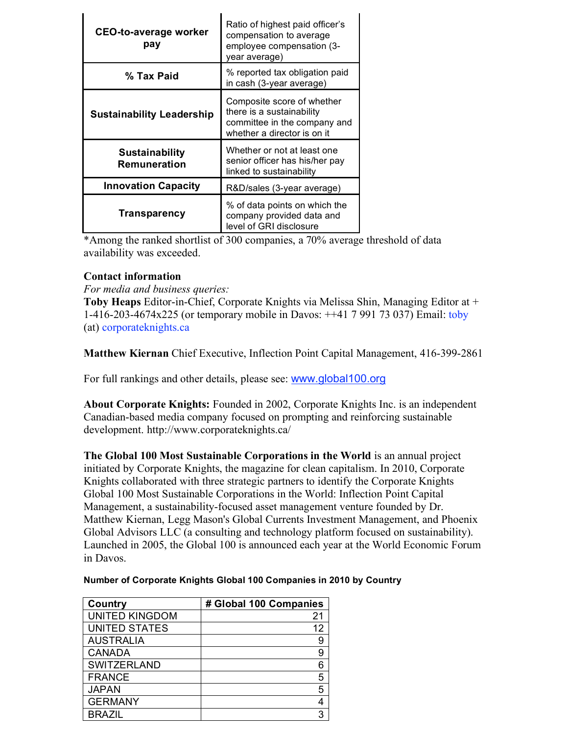| <b>CEO-to-average worker</b><br>pay   | Ratio of highest paid officer's<br>compensation to average<br>employee compensation (3-<br>year average)               |
|---------------------------------------|------------------------------------------------------------------------------------------------------------------------|
| % Tax Paid                            | % reported tax obligation paid<br>in cash (3-year average)                                                             |
| <b>Sustainability Leadership</b>      | Composite score of whether<br>there is a sustainability<br>committee in the company and<br>whether a director is on it |
| <b>Sustainability</b><br>Remuneration | Whether or not at least one<br>senior officer has his/her pay<br>linked to sustainability                              |
| <b>Innovation Capacity</b>            | R&D/sales (3-year average)                                                                                             |
| Transparency                          | % of data points on which the<br>company provided data and<br>level of GRI disclosure                                  |

\*Among the ranked shortlist of 300 companies, a 70% average threshold of data availability was exceeded.

## **Contact information**

*For media and business queries:*

**Toby Heaps** Editor-in-Chief, Corporate Knights via Melissa Shin, Managing Editor at + 1-416-203-4674x225 (or temporary mobile in Davos: ++41 7 991 73 037) Email: toby (at) corporateknights.ca

**Matthew Kiernan** Chief Executive, Inflection Point Capital Management, 416-399-2861

For full rankings and other details, please see: www.global100.org

**About Corporate Knights:** Founded in 2002, Corporate Knights Inc. is an independent Canadian-based media company focused on prompting and reinforcing sustainable development. http://www.corporateknights.ca/

**The Global 100 Most Sustainable Corporations in the World** is an annual project initiated by Corporate Knights, the magazine for clean capitalism. In 2010, Corporate Knights collaborated with three strategic partners to identify the Corporate Knights Global 100 Most Sustainable Corporations in the World: Inflection Point Capital Management, a sustainability-focused asset management venture founded by Dr. Matthew Kiernan, Legg Mason's Global Currents Investment Management, and Phoenix Global Advisors LLC (a consulting and technology platform focused on sustainability). Launched in 2005, the Global 100 is announced each year at the World Economic Forum in Davos.

| Country               | # Global 100 Companies |
|-----------------------|------------------------|
| <b>UNITED KINGDOM</b> | 21                     |
| <b>UNITED STATES</b>  | 12                     |
| <b>AUSTRALIA</b>      | 9                      |
| <b>CANADA</b>         | 9                      |
| <b>SWITZERLAND</b>    | 6                      |
| <b>FRANCE</b>         | 5                      |
| <b>JAPAN</b>          | 5                      |
| <b>GERMANY</b>        | 4                      |
| <b>BRAZIL</b>         | 3                      |

### **Number of Corporate Knights Global 100 Companies in 2010 by Country**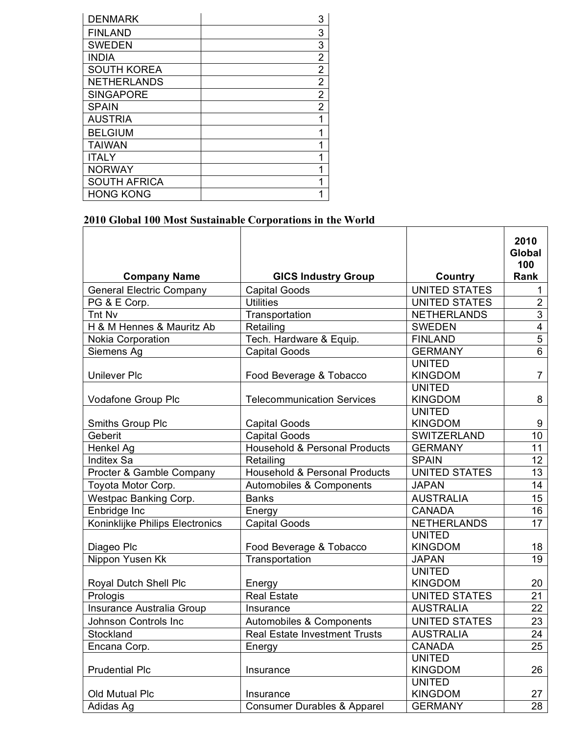| <b>DENMARK</b>      | 3              |
|---------------------|----------------|
| <b>FINLAND</b>      | 3              |
| <b>SWEDEN</b>       | 3              |
| <b>INDIA</b>        | 2              |
| <b>SOUTH KOREA</b>  | $\overline{2}$ |
| <b>NETHERLANDS</b>  | $\overline{2}$ |
| <b>SINGAPORE</b>    | $\overline{2}$ |
| <b>SPAIN</b>        | $\overline{2}$ |
| <b>AUSTRIA</b>      |                |
| <b>BELGIUM</b>      |                |
| <b>TAIWAN</b>       |                |
| <b>ITALY</b>        |                |
| <b>NORWAY</b>       |                |
| <b>SOUTH AFRICA</b> | 1              |
| <b>HONG KONG</b>    |                |

# **2010 Global 100 Most Sustainable Corporations in the World**

|                                 |                                          |                      | 2010<br><b>Global</b><br>100 |
|---------------------------------|------------------------------------------|----------------------|------------------------------|
| <b>Company Name</b>             | <b>GICS Industry Group</b>               | Country              | Rank                         |
| <b>General Electric Company</b> | <b>Capital Goods</b>                     | <b>UNITED STATES</b> | $\mathbf{1}$                 |
| PG & E Corp.                    | <b>Utilities</b>                         | <b>UNITED STATES</b> | $\overline{2}$               |
| Tnt Nv                          | Transportation                           | <b>NETHERLANDS</b>   | $\overline{3}$               |
| H & M Hennes & Mauritz Ab       | Retailing                                | <b>SWEDEN</b>        | $\overline{4}$               |
| Nokia Corporation               | Tech. Hardware & Equip.                  | <b>FINLAND</b>       | $\overline{5}$               |
| Siemens Ag                      | <b>Capital Goods</b>                     | <b>GERMANY</b>       | $6\phantom{1}$               |
|                                 |                                          | <b>UNITED</b>        |                              |
| <b>Unilever Plc</b>             | Food Beverage & Tobacco                  | <b>KINGDOM</b>       | $\overline{7}$               |
|                                 |                                          | <b>UNITED</b>        |                              |
| Vodafone Group Plc              | <b>Telecommunication Services</b>        | <b>KINGDOM</b>       | 8                            |
|                                 |                                          | <b>UNITED</b>        |                              |
| Smiths Group Plc                | <b>Capital Goods</b>                     | <b>KINGDOM</b>       | 9                            |
| Geberit                         | <b>Capital Goods</b>                     | SWITZERLAND          | 10 <sup>°</sup>              |
| Henkel Ag                       | <b>Household &amp; Personal Products</b> | <b>GERMANY</b>       | 11                           |
| <b>Inditex Sa</b>               | Retailing                                | <b>SPAIN</b>         | 12 <sub>2</sub>              |
| Procter & Gamble Company        | <b>Household &amp; Personal Products</b> | <b>UNITED STATES</b> | $\overline{13}$              |
| Toyota Motor Corp.              | Automobiles & Components                 | <b>JAPAN</b>         | 14                           |
| Westpac Banking Corp.           | <b>Banks</b>                             | <b>AUSTRALIA</b>     | 15 <sub>15</sub>             |
| Enbridge Inc                    | Energy                                   | <b>CANADA</b>        | 16                           |
| Koninklijke Philips Electronics | <b>Capital Goods</b>                     | <b>NETHERLANDS</b>   | 17                           |
|                                 |                                          | <b>UNITED</b>        |                              |
| Diageo Plc                      | Food Beverage & Tobacco                  | <b>KINGDOM</b>       | 18                           |
| Nippon Yusen Kk                 | Transportation                           | <b>JAPAN</b>         | 19                           |
|                                 |                                          | <b>UNITED</b>        |                              |
| Royal Dutch Shell Plc           | Energy                                   | <b>KINGDOM</b>       | 20                           |
| Prologis                        | <b>Real Estate</b>                       | <b>UNITED STATES</b> | 21                           |
| Insurance Australia Group       | Insurance                                | <b>AUSTRALIA</b>     | 22                           |
| Johnson Controls Inc            | Automobiles & Components                 | <b>UNITED STATES</b> | 23                           |
| Stockland                       | <b>Real Estate Investment Trusts</b>     | <b>AUSTRALIA</b>     | 24                           |
| Encana Corp.                    | Energy                                   | <b>CANADA</b>        | 25                           |
|                                 |                                          | <b>UNITED</b>        |                              |
| <b>Prudential Plc</b>           | Insurance                                | <b>KINGDOM</b>       | 26                           |
|                                 |                                          | <b>UNITED</b>        |                              |
| Old Mutual Plc                  | Insurance                                | <b>KINGDOM</b>       | 27                           |
| Adidas Ag                       | <b>Consumer Durables &amp; Apparel</b>   | <b>GERMANY</b>       | 28                           |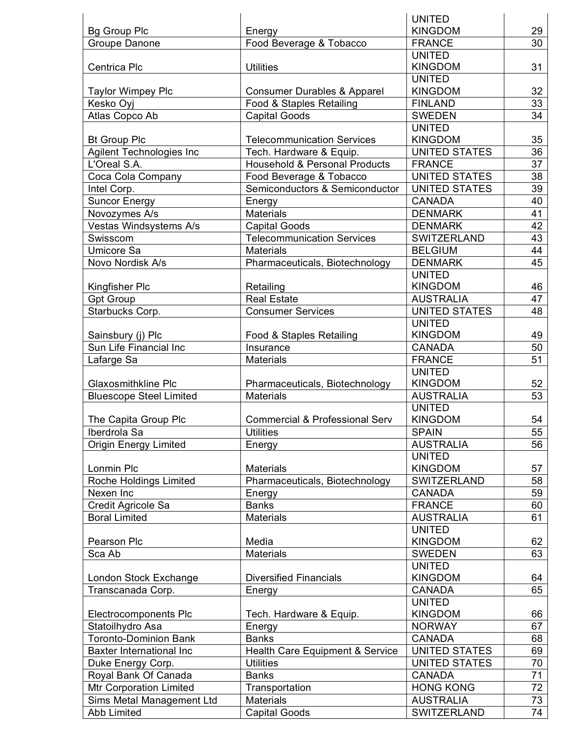|                                 |                                           | <b>UNITED</b>        |                 |
|---------------------------------|-------------------------------------------|----------------------|-----------------|
| <b>Bg Group Plc</b>             | Energy                                    | <b>KINGDOM</b>       | 29              |
| Groupe Danone                   | Food Beverage & Tobacco                   | <b>FRANCE</b>        | 30              |
|                                 |                                           | <b>UNITED</b>        |                 |
| Centrica Plc                    | <b>Utilities</b>                          | <b>KINGDOM</b>       | 31              |
|                                 |                                           | <b>UNITED</b>        |                 |
| <b>Taylor Wimpey Plc</b>        | Consumer Durables & Apparel               | <b>KINGDOM</b>       | 32              |
| Kesko Oyj                       | Food & Staples Retailing                  | <b>FINLAND</b>       | 33              |
| Atlas Copco Ab                  | <b>Capital Goods</b>                      | <b>SWEDEN</b>        | 34              |
|                                 |                                           | <b>UNITED</b>        |                 |
| <b>Bt Group Plc</b>             | <b>Telecommunication Services</b>         | <b>KINGDOM</b>       | 35              |
| <b>Agilent Technologies Inc</b> | Tech. Hardware & Equip.                   | <b>UNITED STATES</b> | 36              |
| L'Oreal S.A.                    | <b>Household &amp; Personal Products</b>  | <b>FRANCE</b>        | 37              |
| Coca Cola Company               | Food Beverage & Tobacco                   | <b>UNITED STATES</b> | 38              |
| Intel Corp.                     | Semiconductors & Semiconductor            | <b>UNITED STATES</b> | 39              |
| <b>Suncor Energy</b>            | Energy                                    | <b>CANADA</b>        | 40              |
| Novozymes A/s                   | <b>Materials</b>                          | <b>DENMARK</b>       | 41              |
| Vestas Windsystems A/s          | <b>Capital Goods</b>                      | <b>DENMARK</b>       | 42              |
| Swisscom                        | <b>Telecommunication Services</b>         | SWITZERLAND          | 43              |
| <b>Umicore Sa</b>               | <b>Materials</b>                          | <b>BELGIUM</b>       | 44              |
| Novo Nordisk A/s                | Pharmaceuticals, Biotechnology            | <b>DENMARK</b>       | 45              |
|                                 |                                           | <b>UNITED</b>        |                 |
| Kingfisher Plc                  | Retailing                                 | <b>KINGDOM</b>       | 46              |
| <b>Gpt Group</b>                | <b>Real Estate</b>                        | <b>AUSTRALIA</b>     | 47              |
| Starbucks Corp.                 | <b>Consumer Services</b>                  | <b>UNITED STATES</b> | 48              |
|                                 |                                           | <b>UNITED</b>        |                 |
| Sainsbury (j) Plc               | Food & Staples Retailing                  | <b>KINGDOM</b>       | 49              |
| Sun Life Financial Inc          | Insurance                                 | <b>CANADA</b>        | $\overline{50}$ |
| Lafarge Sa                      | <b>Materials</b>                          | <b>FRANCE</b>        | 51              |
|                                 |                                           | <b>UNITED</b>        |                 |
| <b>Glaxosmithkline Plc</b>      | Pharmaceuticals, Biotechnology            | <b>KINGDOM</b>       | 52              |
| <b>Bluescope Steel Limited</b>  | <b>Materials</b>                          | <b>AUSTRALIA</b>     | 53              |
|                                 |                                           | <b>UNITED</b>        |                 |
| The Capita Group Plc            | <b>Commercial &amp; Professional Serv</b> | <b>KINGDOM</b>       | 54              |
| Iberdrola Sa                    | Utilities                                 | <b>SPAIN</b>         | 55              |
| <b>Origin Energy Limited</b>    | Energy                                    | <b>AUSTRALIA</b>     | 56              |
|                                 |                                           | <b>UNITED</b>        |                 |
| Lonmin Plc                      | <b>Materials</b>                          | <b>KINGDOM</b>       | 57              |
| Roche Holdings Limited          | Pharmaceuticals, Biotechnology            | SWITZERLAND          | 58              |
| Nexen Inc                       | Energy                                    | <b>CANADA</b>        | 59              |
| Credit Agricole Sa              | <b>Banks</b>                              | <b>FRANCE</b>        | 60              |
| <b>Boral Limited</b>            | <b>Materials</b>                          | <b>AUSTRALIA</b>     | 61              |
|                                 |                                           | <b>UNITED</b>        |                 |
| Pearson Plc                     | Media                                     | <b>KINGDOM</b>       | 62              |
| Sca Ab                          | <b>Materials</b>                          | <b>SWEDEN</b>        | 63              |
|                                 |                                           | <b>UNITED</b>        |                 |
| London Stock Exchange           | <b>Diversified Financials</b>             | <b>KINGDOM</b>       | 64              |
| Transcanada Corp.               | Energy                                    | <b>CANADA</b>        | 65              |
|                                 |                                           | <b>UNITED</b>        |                 |
| Electrocomponents Plc           | Tech. Hardware & Equip.                   | <b>KINGDOM</b>       | 66              |
| Statoilhydro Asa                | Energy                                    | <b>NORWAY</b>        | 67              |
| <b>Toronto-Dominion Bank</b>    | <b>Banks</b>                              | <b>CANADA</b>        | 68              |
| <b>Baxter International Inc</b> | Health Care Equipment & Service           | <b>UNITED STATES</b> | 69              |
| Duke Energy Corp.               | <b>Utilities</b>                          | <b>UNITED STATES</b> | 70              |
| Royal Bank Of Canada            | <b>Banks</b>                              | <b>CANADA</b>        | 71              |
| Mtr Corporation Limited         | Transportation                            | <b>HONG KONG</b>     | $\overline{72}$ |
| Sims Metal Management Ltd       | <b>Materials</b>                          | <b>AUSTRALIA</b>     | 73              |
| Abb Limited                     | <b>Capital Goods</b>                      | SWITZERLAND          | 74              |
|                                 |                                           |                      |                 |